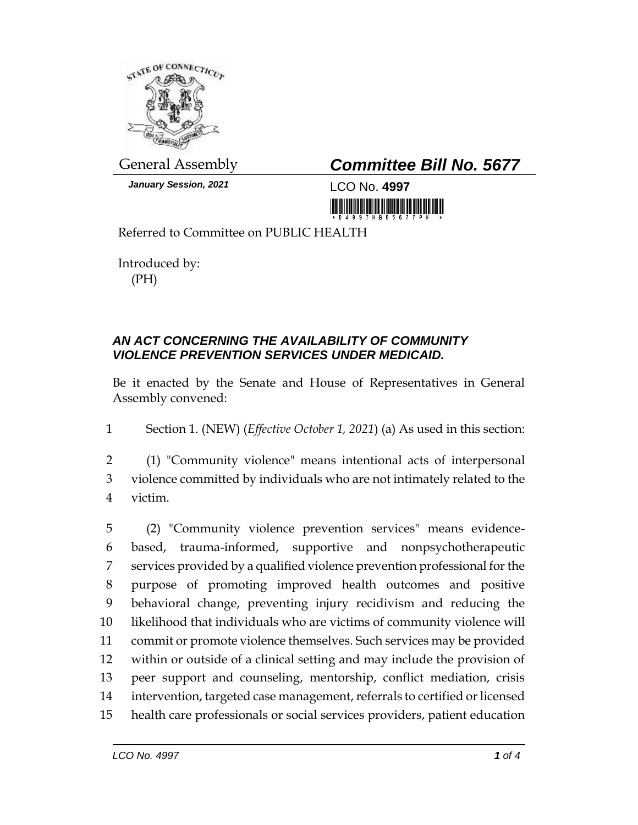

*January Session, 2021* LCO No. **4997**

## General Assembly *Committee Bill No. 5677*

<u> III AN MARINI MA</u>

Referred to Committee on PUBLIC HEALTH

Introduced by: (PH)

## *AN ACT CONCERNING THE AVAILABILITY OF COMMUNITY VIOLENCE PREVENTION SERVICES UNDER MEDICAID.*

Be it enacted by the Senate and House of Representatives in General Assembly convened:

1 Section 1. (NEW) (*Effective October 1, 2021*) (a) As used in this section:

2 (1) "Community violence" means intentional acts of interpersonal 3 violence committed by individuals who are not intimately related to the 4 victim.

 (2) "Community violence prevention services" means evidence- based, trauma-informed, supportive and nonpsychotherapeutic services provided by a qualified violence prevention professional for the purpose of promoting improved health outcomes and positive behavioral change, preventing injury recidivism and reducing the likelihood that individuals who are victims of community violence will commit or promote violence themselves. Such services may be provided within or outside of a clinical setting and may include the provision of peer support and counseling, mentorship, conflict mediation, crisis intervention, targeted case management, referrals to certified or licensed health care professionals or social services providers, patient education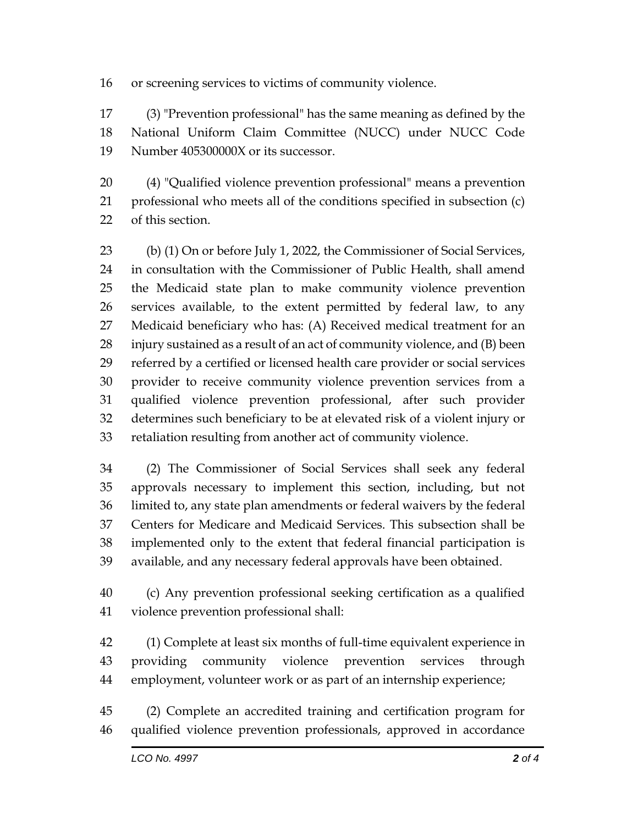or screening services to victims of community violence.

 (3) "Prevention professional" has the same meaning as defined by the National Uniform Claim Committee (NUCC) under NUCC Code Number 405300000X or its successor.

 (4) "Qualified violence prevention professional" means a prevention professional who meets all of the conditions specified in subsection (c) of this section.

 (b) (1) On or before July 1, 2022, the Commissioner of Social Services, in consultation with the Commissioner of Public Health, shall amend the Medicaid state plan to make community violence prevention services available, to the extent permitted by federal law, to any Medicaid beneficiary who has: (A) Received medical treatment for an injury sustained as a result of an act of community violence, and (B) been referred by a certified or licensed health care provider or social services provider to receive community violence prevention services from a qualified violence prevention professional, after such provider determines such beneficiary to be at elevated risk of a violent injury or retaliation resulting from another act of community violence.

 (2) The Commissioner of Social Services shall seek any federal approvals necessary to implement this section, including, but not limited to, any state plan amendments or federal waivers by the federal Centers for Medicare and Medicaid Services. This subsection shall be implemented only to the extent that federal financial participation is available, and any necessary federal approvals have been obtained.

 (c) Any prevention professional seeking certification as a qualified violence prevention professional shall:

 (1) Complete at least six months of full-time equivalent experience in providing community violence prevention services through employment, volunteer work or as part of an internship experience;

 (2) Complete an accredited training and certification program for qualified violence prevention professionals, approved in accordance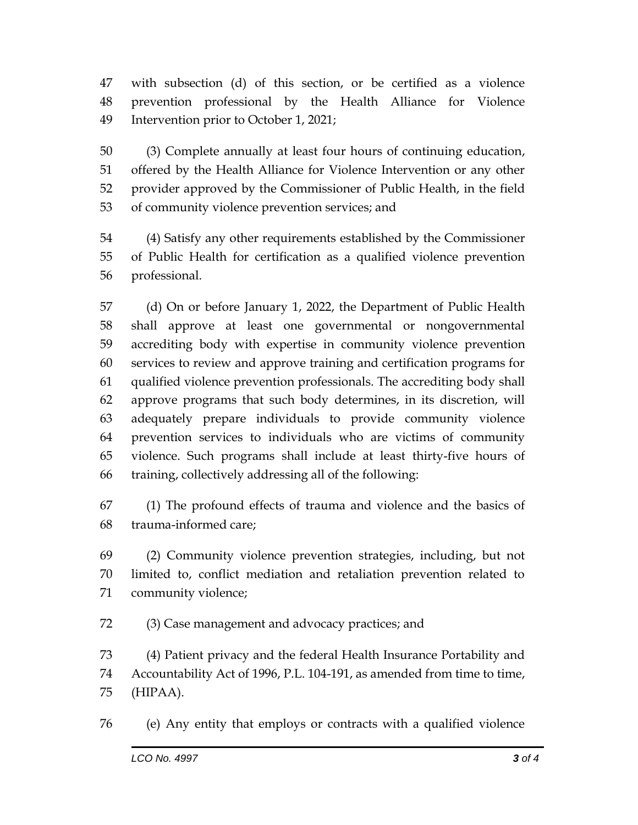with subsection (d) of this section, or be certified as a violence prevention professional by the Health Alliance for Violence Intervention prior to October 1, 2021;

 (3) Complete annually at least four hours of continuing education, offered by the Health Alliance for Violence Intervention or any other provider approved by the Commissioner of Public Health, in the field of community violence prevention services; and

 (4) Satisfy any other requirements established by the Commissioner of Public Health for certification as a qualified violence prevention professional.

 (d) On or before January 1, 2022, the Department of Public Health shall approve at least one governmental or nongovernmental accrediting body with expertise in community violence prevention services to review and approve training and certification programs for qualified violence prevention professionals. The accrediting body shall approve programs that such body determines, in its discretion, will adequately prepare individuals to provide community violence prevention services to individuals who are victims of community violence. Such programs shall include at least thirty-five hours of training, collectively addressing all of the following:

 (1) The profound effects of trauma and violence and the basics of trauma-informed care;

 (2) Community violence prevention strategies, including, but not limited to, conflict mediation and retaliation prevention related to community violence;

(3) Case management and advocacy practices; and

 (4) Patient privacy and the federal Health Insurance Portability and Accountability Act of 1996, P.L. 104-191, as amended from time to time, (HIPAA).

(e) Any entity that employs or contracts with a qualified violence